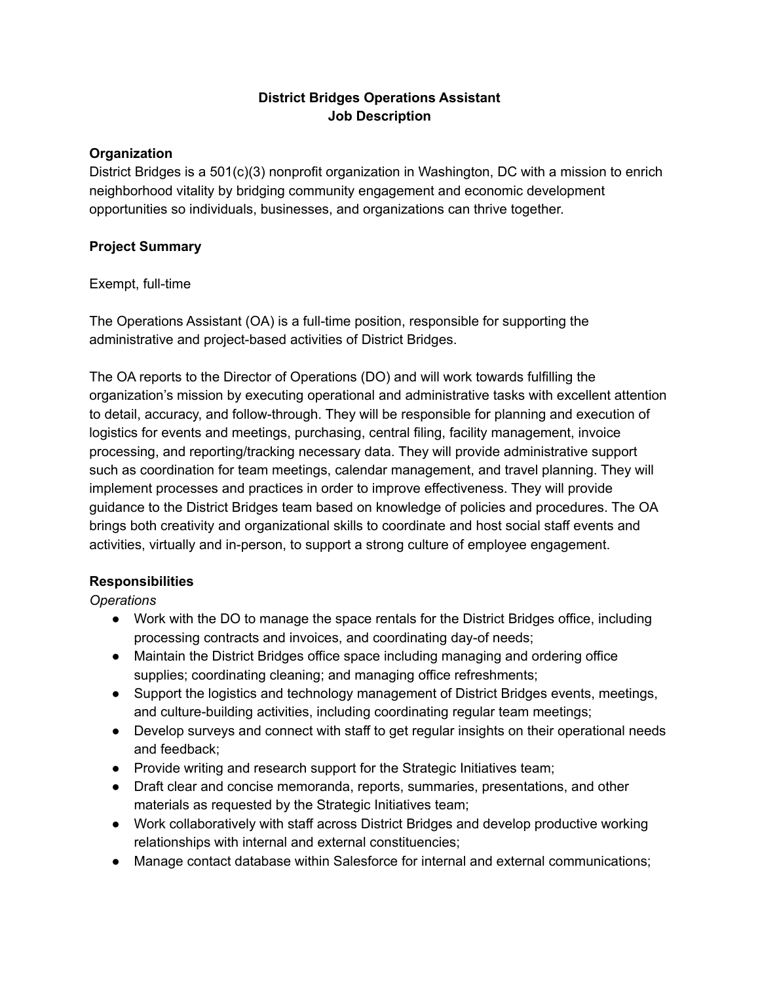## **District Bridges Operations Assistant Job Description**

#### **Organization**

District Bridges is a 501(c)(3) nonprofit organization in Washington, DC with a mission to enrich neighborhood vitality by bridging community engagement and economic development opportunities so individuals, businesses, and organizations can thrive together.

#### **Project Summary**

#### Exempt, full-time

The Operations Assistant (OA) is a full-time position, responsible for supporting the administrative and project-based activities of District Bridges.

The OA reports to the Director of Operations (DO) and will work towards fulfilling the organization's mission by executing operational and administrative tasks with excellent attention to detail, accuracy, and follow-through. They will be responsible for planning and execution of logistics for events and meetings, purchasing, central filing, facility management, invoice processing, and reporting/tracking necessary data. They will provide administrative support such as coordination for team meetings, calendar management, and travel planning. They will implement processes and practices in order to improve effectiveness. They will provide guidance to the District Bridges team based on knowledge of policies and procedures. The OA brings both creativity and organizational skills to coordinate and host social staff events and activities, virtually and in-person, to support a strong culture of employee engagement.

### **Responsibilities**

*Operations*

- Work with the DO to manage the space rentals for the District Bridges office, including processing contracts and invoices, and coordinating day-of needs;
- Maintain the District Bridges office space including managing and ordering office supplies; coordinating cleaning; and managing office refreshments;
- Support the logistics and technology management of District Bridges events, meetings, and culture-building activities, including coordinating regular team meetings;
- Develop surveys and connect with staff to get regular insights on their operational needs and feedback;
- Provide writing and research support for the Strategic Initiatives team;
- Draft clear and concise memoranda, reports, summaries, presentations, and other materials as requested by the Strategic Initiatives team;
- Work collaboratively with staff across District Bridges and develop productive working relationships with internal and external constituencies;
- Manage contact database within Salesforce for internal and external communications;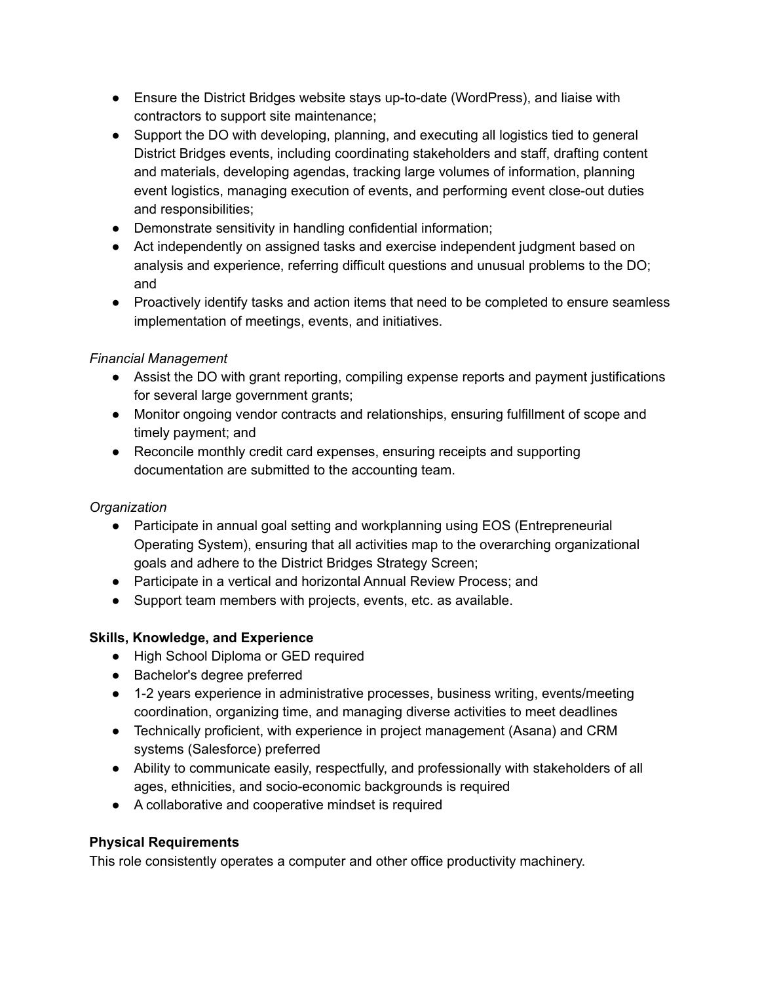- Ensure the District Bridges website stays up-to-date (WordPress), and liaise with contractors to support site maintenance;
- Support the DO with developing, planning, and executing all logistics tied to general District Bridges events, including coordinating stakeholders and staff, drafting content and materials, developing agendas, tracking large volumes of information, planning event logistics, managing execution of events, and performing event close-out duties and responsibilities;
- Demonstrate sensitivity in handling confidential information;
- Act independently on assigned tasks and exercise independent judgment based on analysis and experience, referring difficult questions and unusual problems to the DO; and
- Proactively identify tasks and action items that need to be completed to ensure seamless implementation of meetings, events, and initiatives.

## *Financial Management*

- Assist the DO with grant reporting, compiling expense reports and payment justifications for several large government grants;
- Monitor ongoing vendor contracts and relationships, ensuring fulfillment of scope and timely payment; and
- Reconcile monthly credit card expenses, ensuring receipts and supporting documentation are submitted to the accounting team.

# *Organization*

- Participate in annual goal setting and workplanning using EOS (Entrepreneurial Operating System), ensuring that all activities map to the overarching organizational goals and adhere to the District Bridges Strategy Screen;
- Participate in a vertical and horizontal Annual Review Process; and
- Support team members with projects, events, etc. as available.

### **Skills, Knowledge, and Experience**

- High School Diploma or GED required
- Bachelor's degree preferred
- 1-2 years experience in administrative processes, business writing, events/meeting coordination, organizing time, and managing diverse activities to meet deadlines
- Technically proficient, with experience in project management (Asana) and CRM systems (Salesforce) preferred
- Ability to communicate easily, respectfully, and professionally with stakeholders of all ages, ethnicities, and socio-economic backgrounds is required
- A collaborative and cooperative mindset is required

### **Physical Requirements**

This role consistently operates a computer and other office productivity machinery.